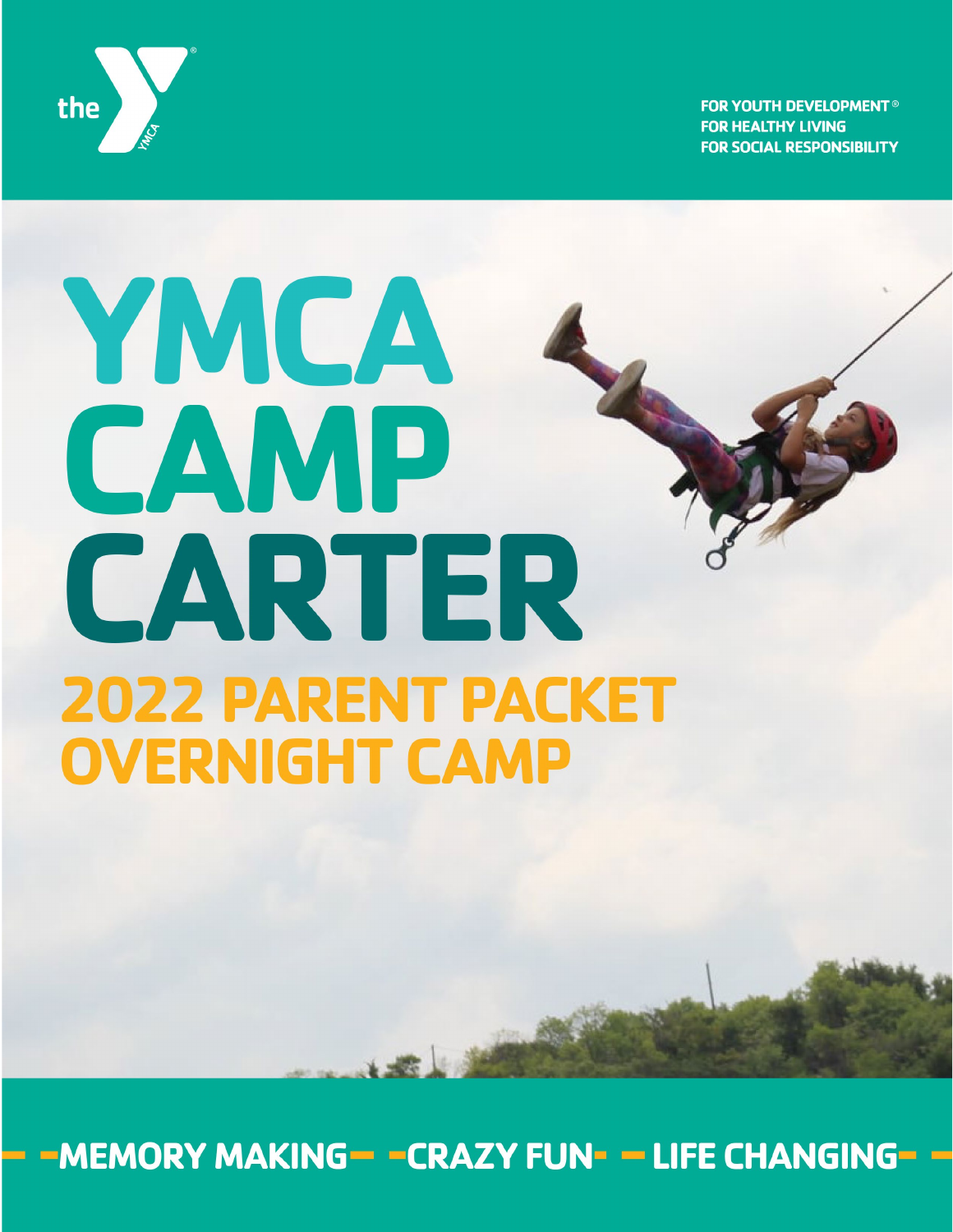

**FOR YOUTH DEVELOPMENT® FOR HEALTHY LIVING FOR SOCIAL RESPONSIBILITY** 

# YMCA CAMP CARTER **2022 PARENT PACKET OVERNIGHT CAMP**

-MEMORY MAKING- -CRAZY FUN- - LIFE CHANGING-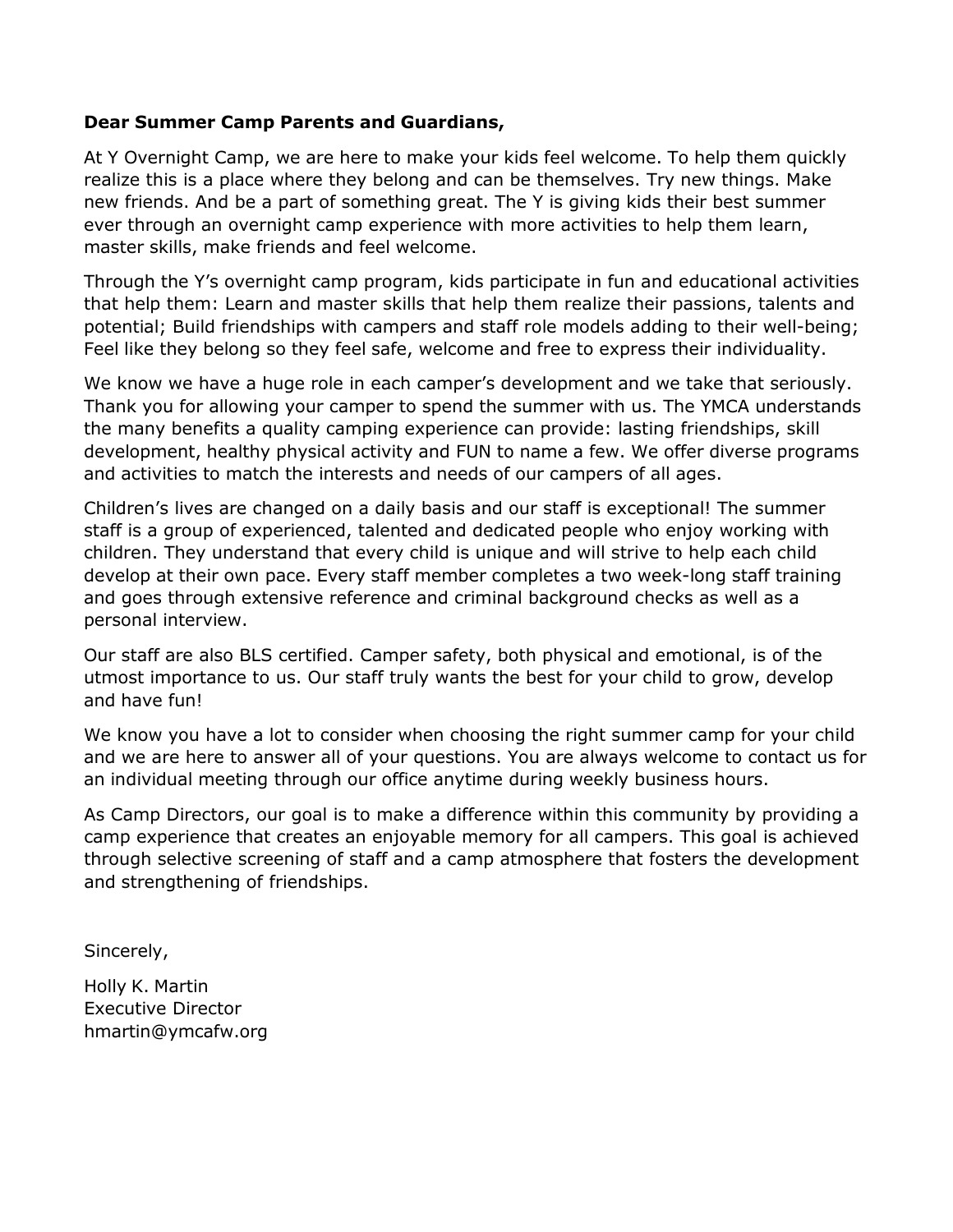#### **Dear Summer Camp Parents and Guardians,**

At Y Overnight Camp, we are here to make your kids feel welcome. To help them quickly realize this is a place where they belong and can be themselves. Try new things. Make new friends. And be a part of something great. The Y is giving kids their best summer ever through an overnight camp experience with more activities to help them learn, master skills, make friends and feel welcome.

Through the Y's overnight camp program, kids participate in fun and educational activities that help them: Learn and master skills that help them realize their passions, talents and potential; Build friendships with campers and staff role models adding to their well-being; Feel like they belong so they feel safe, welcome and free to express their individuality.

We know we have a huge role in each camper's development and we take that seriously. Thank you for allowing your camper to spend the summer with us. The YMCA understands the many benefits a quality camping experience can provide: lasting friendships, skill development, healthy physical activity and FUN to name a few. We offer diverse programs and activities to match the interests and needs of our campers of all ages.

Children's lives are changed on a daily basis and our staff is exceptional! The summer staff is a group of experienced, talented and dedicated people who enjoy working with children. They understand that every child is unique and will strive to help each child develop at their own pace. Every staff member completes a two week-long staff training and goes through extensive reference and criminal background checks as well as a personal interview.

Our staff are also BLS certified. Camper safety, both physical and emotional, is of the utmost importance to us. Our staff truly wants the best for your child to grow, develop and have fun!

We know you have a lot to consider when choosing the right summer camp for your child and we are here to answer all of your questions. You are always welcome to contact us for an individual meeting through our office anytime during weekly business hours.

As Camp Directors, our goal is to make a difference within this community by providing a camp experience that creates an enjoyable memory for all campers. This goal is achieved through selective screening of staff and a camp atmosphere that fosters the development and strengthening of friendships.

Sincerely,

Holly K. Martin Executive Director [hmartin@ymcafw.org](mailto:hmartin@ymcafw.org)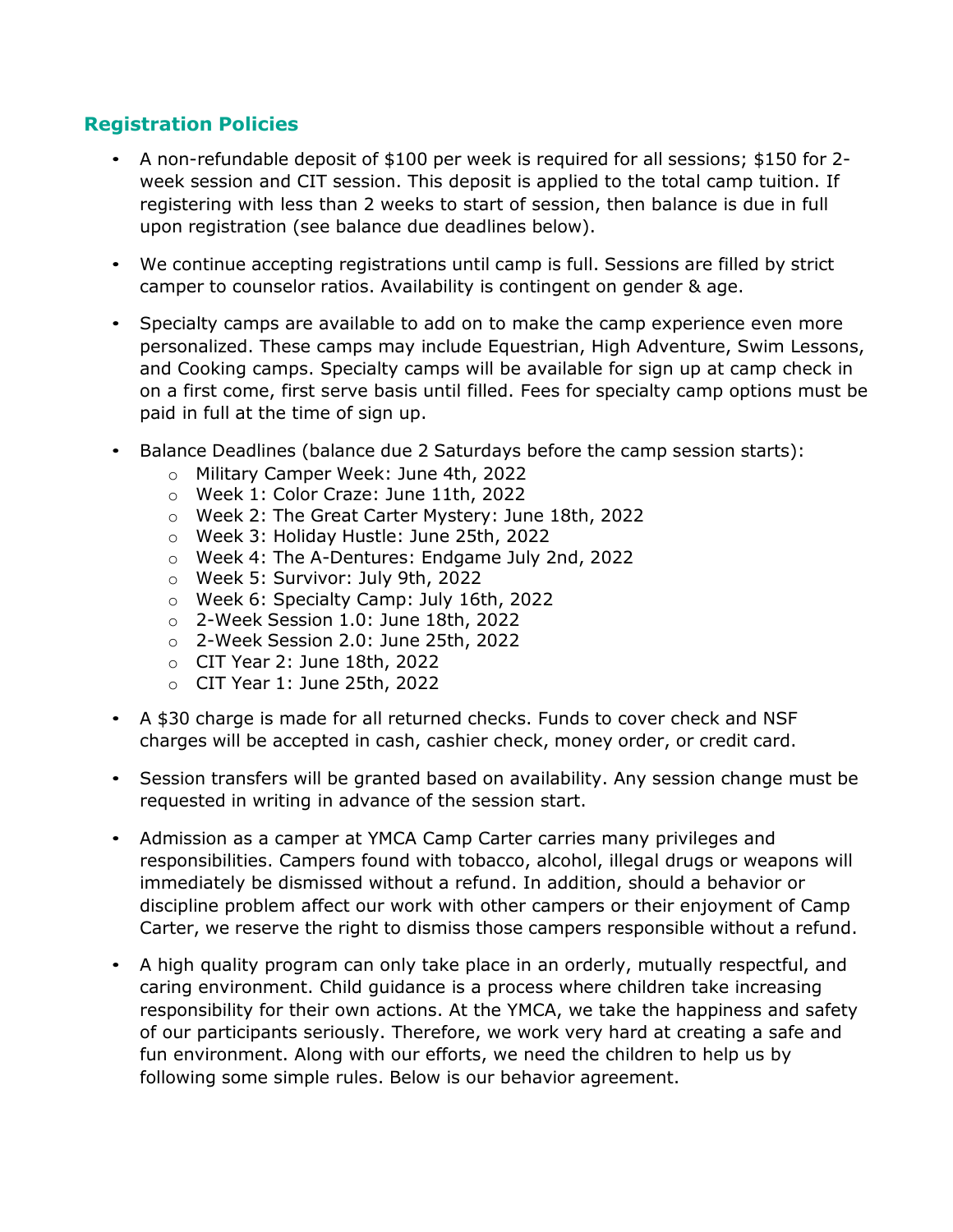# **Registration Policies**

- A non-refundable deposit of \$100 per week is required for all sessions; \$150 for 2 week session and CIT session. This deposit is applied to the total camp tuition. If registering with less than 2 weeks to start of session, then balance is due in full upon registration (see balance due deadlines below).
- We continue accepting registrations until camp is full. Sessions are filled by strict camper to counselor ratios. Availability is contingent on gender & age.
- Specialty camps are available to add on to make the camp experience even more personalized. These camps may include Equestrian, High Adventure, Swim Lessons, and Cooking camps. Specialty camps will be available for sign up at camp check in on a first come, first serve basis until filled. Fees for specialty camp options must be paid in full at the time of sign up.
- Balance Deadlines (balance due 2 Saturdays before the camp session starts):
	- o Military Camper Week: June 4th, 2022
	- o Week 1: Color Craze: June 11th, 2022
	- o Week 2: The Great Carter Mystery: June 18th, 2022
	- o Week 3: Holiday Hustle: June 25th, 2022
	- o Week 4: The A-Dentures: Endgame July 2nd, 2022
	- o Week 5: Survivor: July 9th, 2022
	- o Week 6: Specialty Camp: July 16th, 2022
	- o 2-Week Session 1.0: June 18th, 2022
	- o 2-Week Session 2.0: June 25th, 2022
	- $\circ$  CIT Year 2: June 18th, 2022
	- o CIT Year 1: June 25th, 2022
- A \$30 charge is made for all returned checks. Funds to cover check and NSF charges will be accepted in cash, cashier check, money order, or credit card.
- Session transfers will be granted based on availability. Any session change must be requested in writing in advance of the session start.
- Admission as a camper at YMCA Camp Carter carries many privileges and responsibilities. Campers found with tobacco, alcohol, illegal drugs or weapons will immediately be dismissed without a refund. In addition, should a behavior or discipline problem affect our work with other campers or their enjoyment of Camp Carter, we reserve the right to dismiss those campers responsible without a refund.
- A high quality program can only take place in an orderly, mutually respectful, and caring environment. Child guidance is a process where children take increasing responsibility for their own actions. At the YMCA, we take the happiness and safety of our participants seriously. Therefore, we work very hard at creating a safe and fun environment. Along with our efforts, we need the children to help us by following some simple rules. Below is our behavior agreement.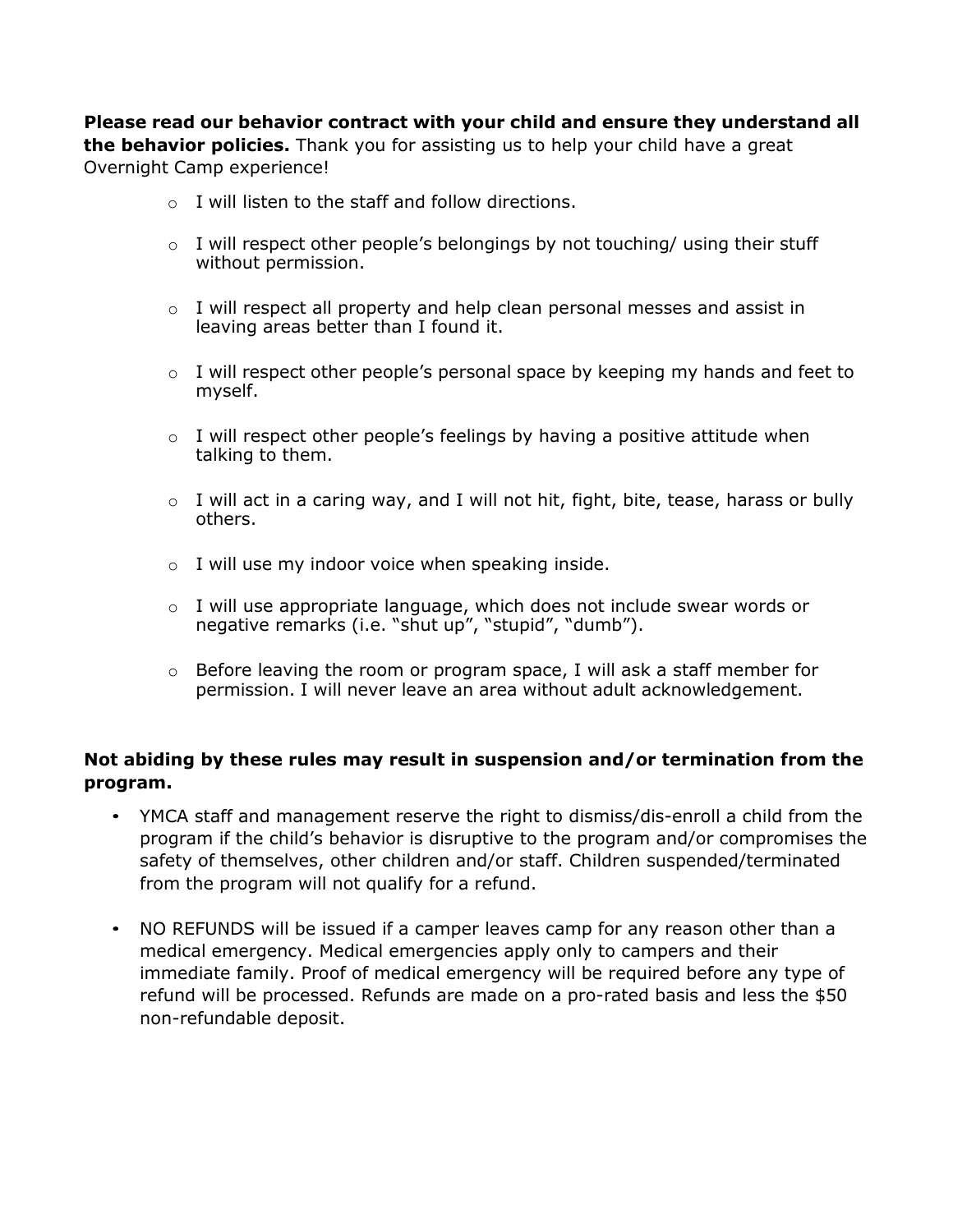**Please read our behavior contract with your child and ensure they understand all the behavior policies.** Thank you for assisting us to help your child have a great Overnight Camp experience!

- $\circ$  I will listen to the staff and follow directions.
- $\circ$  I will respect other people's belongings by not touching/ using their stuff without permission.
- $\circ$  I will respect all property and help clean personal messes and assist in leaving areas better than I found it.
- $\circ$  I will respect other people's personal space by keeping my hands and feet to myself.
- $\circ$  I will respect other people's feelings by having a positive attitude when talking to them.
- $\circ$  I will act in a caring way, and I will not hit, fight, bite, tease, harass or bully others.
- $\circ$  I will use my indoor voice when speaking inside.
- o I will use appropriate language, which does not include swear words or negative remarks (i.e. "shut up", "stupid", "dumb").
- $\circ$  Before leaving the room or program space, I will ask a staff member for permission. I will never leave an area without adult acknowledgement.

### **Not abiding by these rules may result in suspension and/or termination from the program.**

- YMCA staff and management reserve the right to dismiss/dis-enroll a child from the program if the child's behavior is disruptive to the program and/or compromises the safety of themselves, other children and/or staff. Children suspended/terminated from the program will not qualify for a refund.
- NO REFUNDS will be issued if a camper leaves camp for any reason other than a medical emergency. Medical emergencies apply only to campers and their immediate family. Proof of medical emergency will be required before any type of refund will be processed. Refunds are made on a pro-rated basis and less the \$50 non-refundable deposit.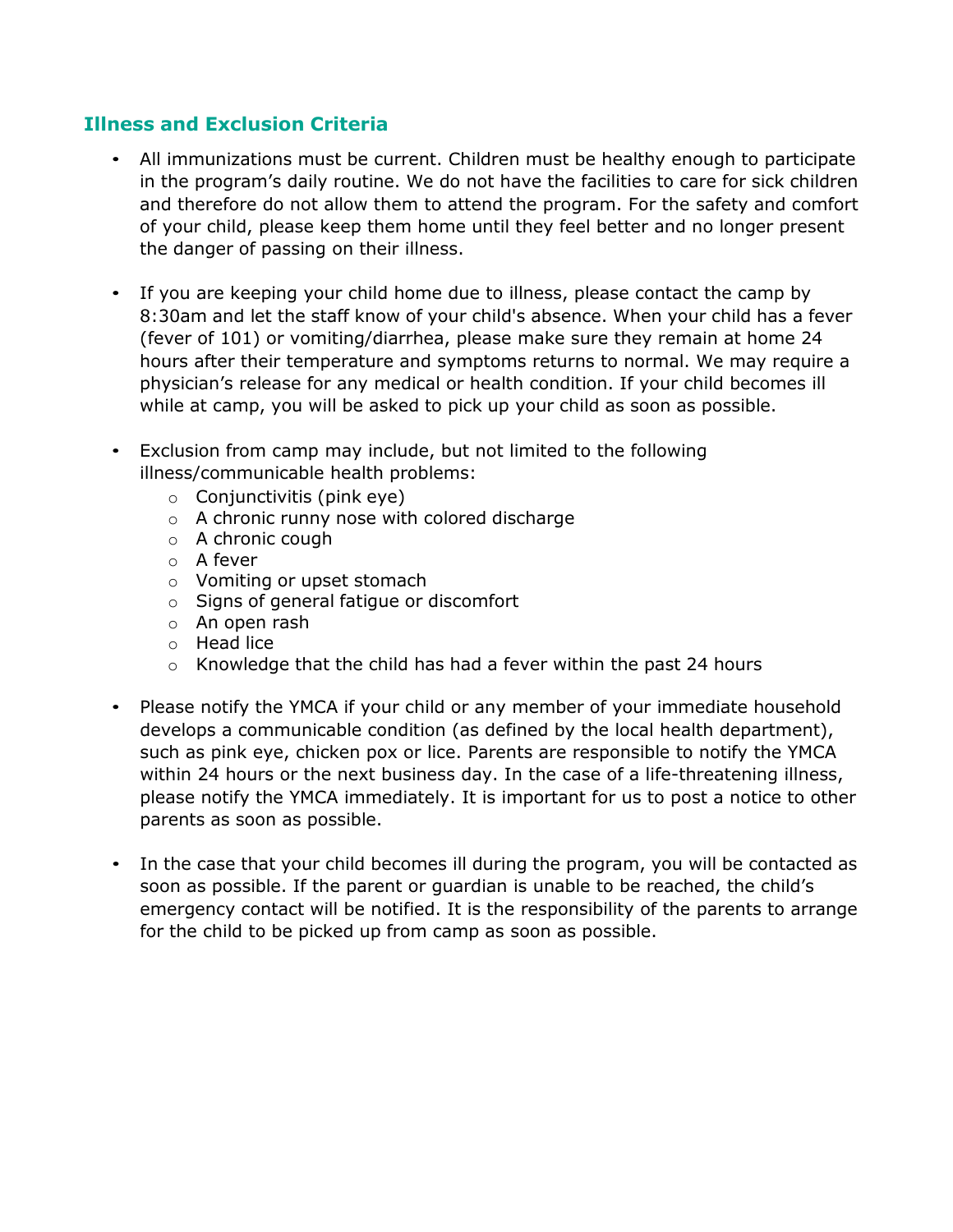## **Illness and Exclusion Criteria**

- All immunizations must be current. Children must be healthy enough to participate in the program's daily routine. We do not have the facilities to care for sick children and therefore do not allow them to attend the program. For the safety and comfort of your child, please keep them home until they feel better and no longer present the danger of passing on their illness.
- If you are keeping your child home due to illness, please contact the camp by 8:30am and let the staff know of your child's absence. When your child has a fever (fever of 101) or vomiting/diarrhea, please make sure they remain at home 24 hours after their temperature and symptoms returns to normal. We may require a physician's release for any medical or health condition. If your child becomes ill while at camp, you will be asked to pick up your child as soon as possible.
- Exclusion from camp may include, but not limited to the following illness/communicable health problems:
	- o Conjunctivitis (pink eye)
	- o A chronic runny nose with colored discharge
	- o A chronic cough
	- o A fever
	- o Vomiting or upset stomach
	- o Signs of general fatigue or discomfort
	- o An open rash
	- o Head lice
	- $\circ$  Knowledge that the child has had a fever within the past 24 hours
- Please notify the YMCA if your child or any member of your immediate household develops a communicable condition (as defined by the local health department), such as pink eye, chicken pox or lice. Parents are responsible to notify the YMCA within 24 hours or the next business day. In the case of a life-threatening illness, please notify the YMCA immediately. It is important for us to post a notice to other parents as soon as possible.
- In the case that your child becomes ill during the program, you will be contacted as soon as possible. If the parent or guardian is unable to be reached, the child's emergency contact will be notified. It is the responsibility of the parents to arrange for the child to be picked up from camp as soon as possible.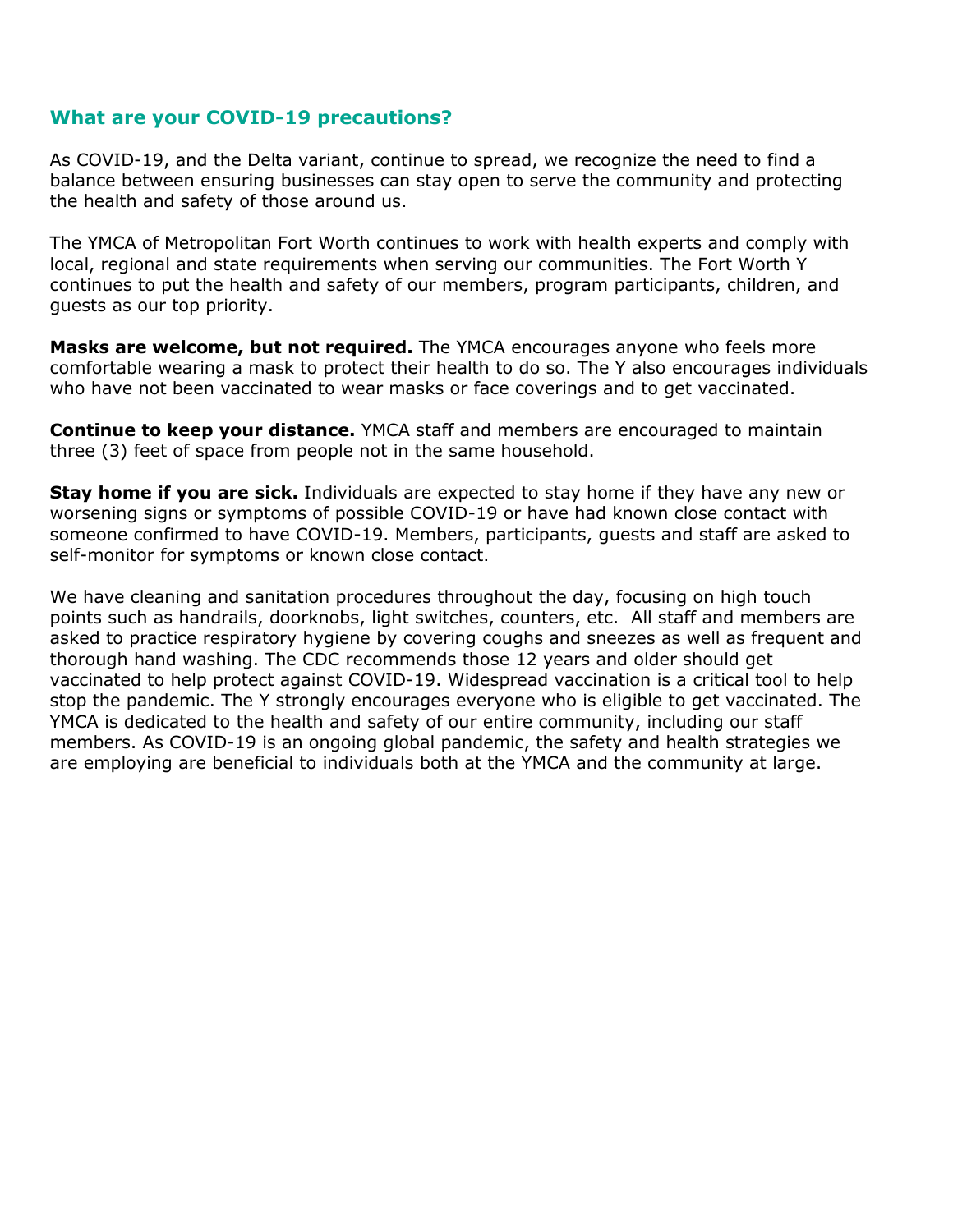#### **What are your COVID-19 precautions?**

As COVID-19, and the Delta variant, continue to spread, we recognize the need to find a balance between ensuring businesses can stay open to serve the community and protecting the health and safety of those around us.

The YMCA of Metropolitan Fort Worth continues to work with health experts and comply with local, regional and state requirements when serving our communities. The Fort Worth Y continues to put the health and safety of our members, program participants, children, and guests as our top priority.

**Masks are welcome, but not required.** The YMCA encourages anyone who feels more comfortable wearing a mask to protect their health to do so. The Y also encourages individuals who have not been vaccinated to wear masks or face coverings and to get vaccinated.

**Continue to keep your distance.** YMCA staff and members are encouraged to maintain three (3) feet of space from people not in the same household.

**Stay home if you are sick.** Individuals are expected to stay home if they have any new or worsening signs or symptoms of possible COVID-19 or have had known close contact with someone confirmed to have COVID-19. Members, participants, guests and staff are asked to self-monitor for symptoms or known close contact.

We have cleaning and sanitation procedures throughout the day, focusing on high touch points such as handrails, doorknobs, light switches, counters, etc. All staff and members are asked to practice respiratory hygiene by covering coughs and sneezes as well as frequent and thorough hand washing. The CDC recommends those 12 years and older should get vaccinated to help protect against COVID-19. Widespread vaccination is a critical tool to help stop the pandemic. The Y strongly encourages everyone who is eligible to get vaccinated. The YMCA is dedicated to the health and safety of our entire community, including our staff members. As COVID-19 is an ongoing global pandemic, the safety and health strategies we are employing are beneficial to individuals both at the YMCA and the community at large.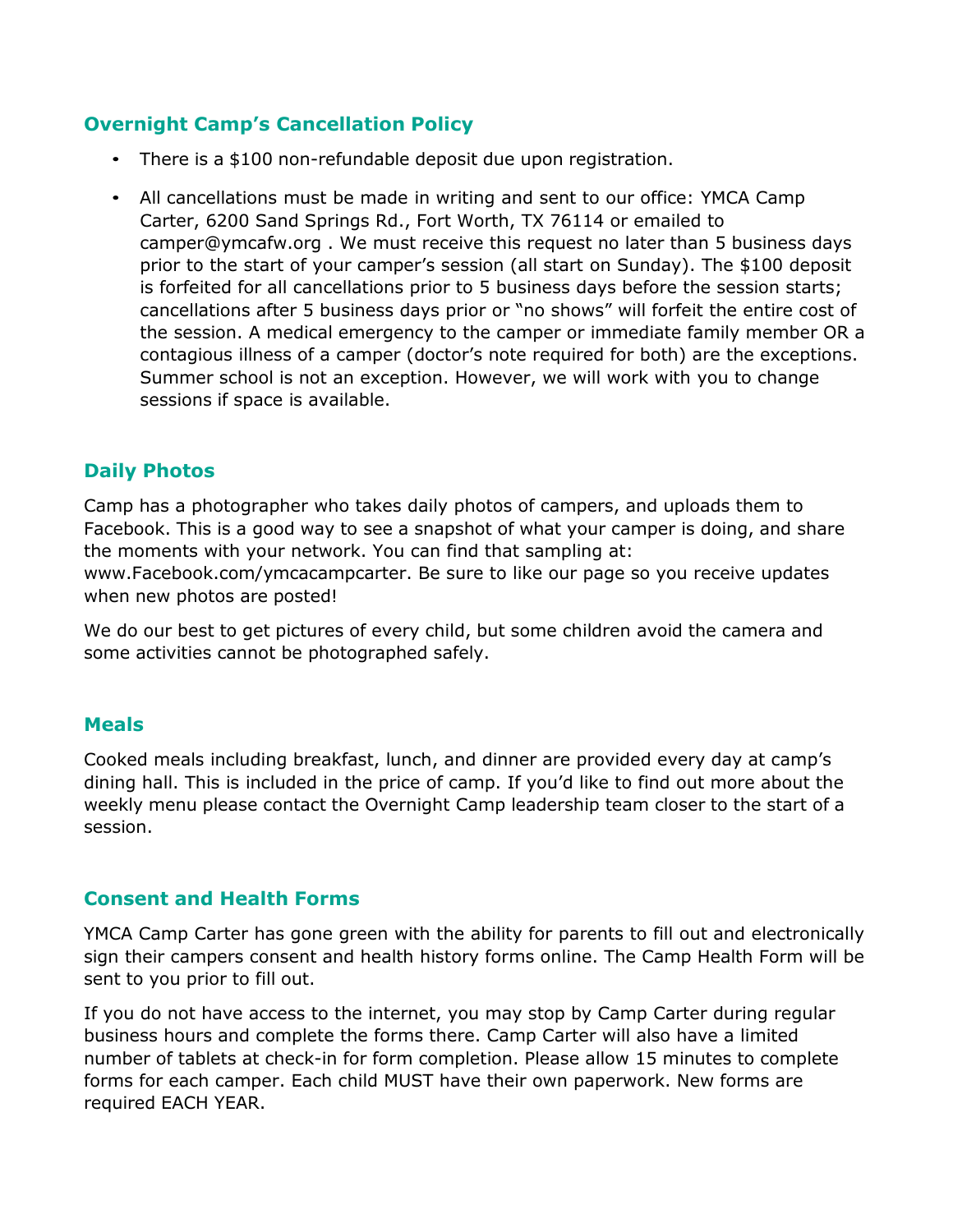## **Overnight Camp's Cancellation Policy**

- There is a \$100 non-refundable deposit due upon registration.
- All cancellations must be made in writing and sent to our office: YMCA Camp Carter, 6200 Sand Springs Rd., Fort Worth, TX 76114 or emailed to [camper@ymcafw.org .](mailto:camper@ymcafw.org) We must receive this request no later than 5 business days prior to the start of your camper's session (all start on Sunday). The \$100 deposit is forfeited for all cancellations prior to 5 business days before the session starts; cancellations after 5 business days prior or "no shows" will forfeit the entire cost of the session. A medical emergency to the camper or immediate family member OR a contagious illness of a camper (doctor's note required for both) are the exceptions. Summer school is not an exception. However, we will work with you to change sessions if space is available.

## **Daily Photos**

Camp has a photographer who takes daily photos of campers, and uploads them to Facebook. This is a good way to see a snapshot of what your camper is doing, and share the moments with your network. You can find that sampling at: [www.Facebook.com/ymcacampcarter. B](http://www.facebook.com/ymcacampcarter)e sure to like our page so you receive updates when new photos are posted!

We do our best to get pictures of every child, but some children avoid the camera and some activities cannot be photographed safely.

### **Meals**

Cooked meals including breakfast, lunch, and dinner are provided every day at camp's dining hall. This is included in the price of camp. If you'd like to find out more about the weekly menu please contact the Overnight Camp leadership team closer to the start of a session.

### **Consent and Health Forms**

YMCA Camp Carter has gone green with the ability for parents to fill out and electronically sign their campers consent and health history forms online. The Camp Health Form will be sent to you prior to fill out.

If you do not have access to the internet, you may stop by Camp Carter during regular business hours and complete the forms there. Camp Carter will also have a limited number of tablets at check-in for form completion. Please allow 15 minutes to complete forms for each camper. Each child MUST have their own paperwork. New forms are required EACH YEAR.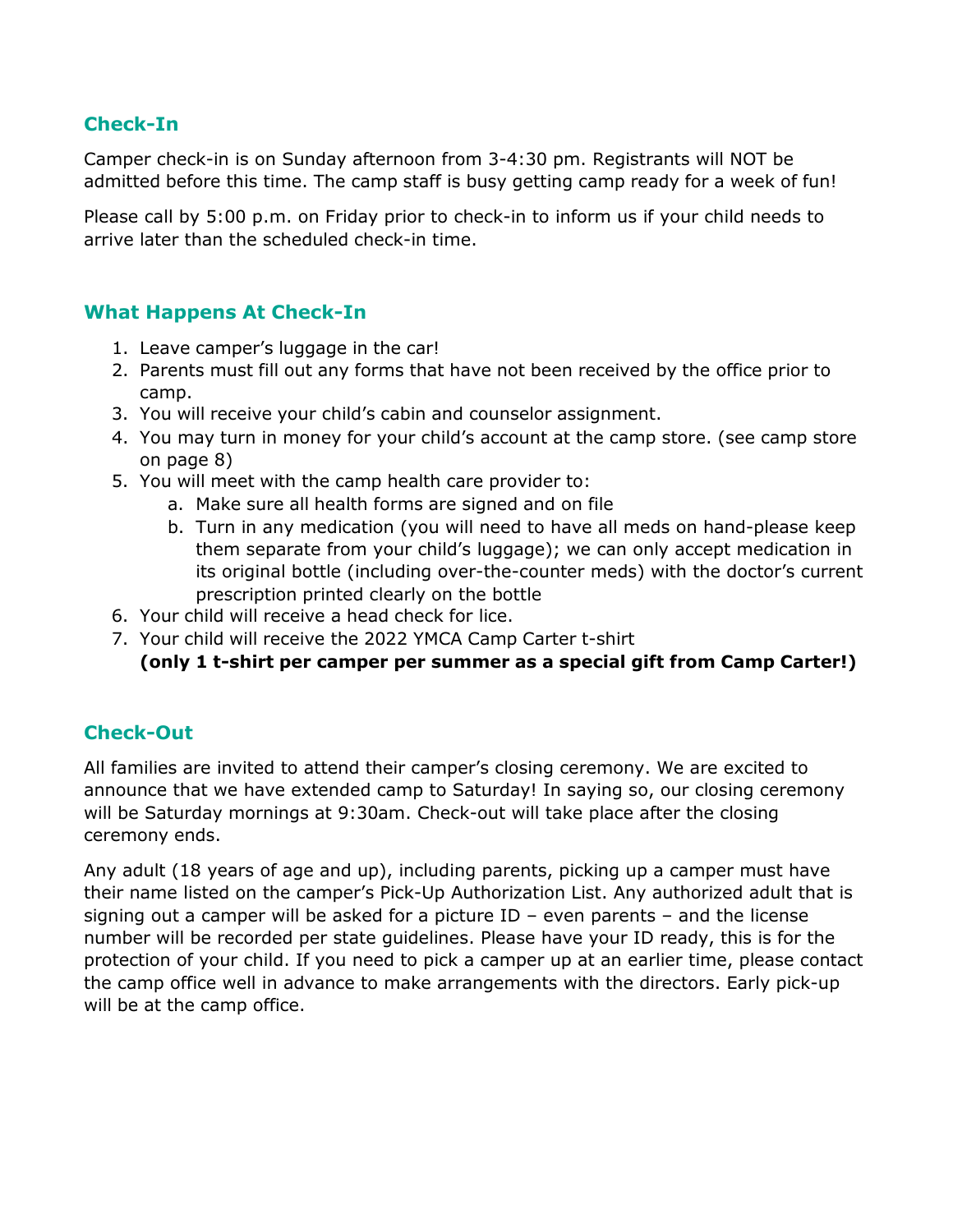## **Check-In**

Camper check-in is on Sunday afternoon from 3-4:30 pm. Registrants will NOT be admitted before this time. The camp staff is busy getting camp ready for a week of fun!

Please call by 5:00 p.m. on Friday prior to check-in to inform us if your child needs to arrive later than the scheduled check-in time.

## **What Happens At Check-In**

- 1. Leave camper's luggage in the car!
- 2. Parents must fill out any forms that have not been received by the office prior to camp.
- 3. You will receive your child's cabin and counselor assignment.
- 4. You may turn in money for your child's account at the camp store. (see camp store on page 8)
- 5. You will meet with the camp health care provider to:
	- a. Make sure all health forms are signed and on file
	- b. Turn in any medication (you will need to have all meds on hand-please keep them separate from your child's luggage); we can only accept medication in its original bottle (including over-the-counter meds) with the doctor's current prescription printed clearly on the bottle
- 6. Your child will receive a head check for lice.
- 7. Your child will receive the 2022 YMCA Camp Carter t-shirt

# **(only 1 t-shirt per camper per summer as a special gift from Camp Carter!)**

# **Check-Out**

All families are invited to attend their camper's closing ceremony. We are excited to announce that we have extended camp to Saturday! In saying so, our closing ceremony will be Saturday mornings at 9:30am. Check-out will take place after the closing ceremony ends.

Any adult (18 years of age and up), including parents, picking up a camper must have their name listed on the camper's Pick-Up Authorization List. Any authorized adult that is signing out a camper will be asked for a picture  $ID - even$  parents  $-$  and the license number will be recorded per state guidelines. Please have your ID ready, this is for the protection of your child. If you need to pick a camper up at an earlier time, please contact the camp office well in advance to make arrangements with the directors. Early pick-up will be at the camp office.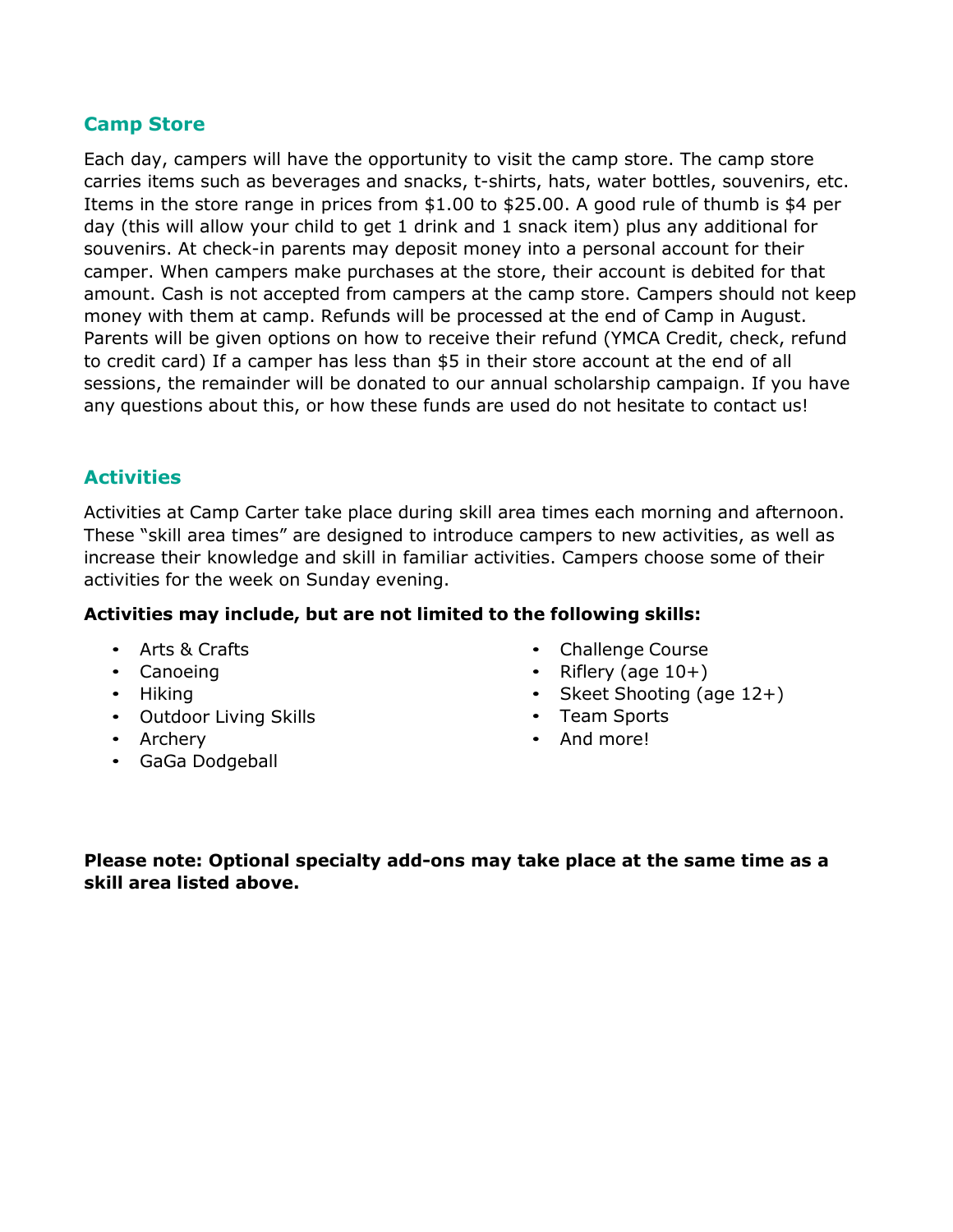## **Camp Store**

Each day, campers will have the opportunity to visit the camp store. The camp store carries items such as beverages and snacks, t-shirts, hats, water bottles, souvenirs, etc. Items in the store range in prices from \$1.00 to \$25.00. A good rule of thumb is \$4 per day (this will allow your child to get 1 drink and 1 snack item) plus any additional for souvenirs. At check-in parents may deposit money into a personal account for their camper. When campers make purchases at the store, their account is debited for that amount. Cash is not accepted from campers at the camp store. Campers should not keep money with them at camp. Refunds will be processed at the end of Camp in August. Parents will be given options on how to receive their refund (YMCA Credit, check, refund to credit card) If a camper has less than \$5 in their store account at the end of all sessions, the remainder will be donated to our annual scholarship campaign. If you have any questions about this, or how these funds are used do not hesitate to contact us!

## **Activities**

Activities at Camp Carter take place during skill area times each morning and afternoon. These "skill area times" are designed to introduce campers to new activities, as well as increase their knowledge and skill in familiar activities. Campers choose some of their activities for the week on Sunday evening.

#### **Activities may include, but are not limited to the following skills:**

- Arts & Crafts
- Canoeing
- Hiking
- Outdoor Living Skills
- Archery
- GaGa Dodgeball
- Challenge Course
- Riflery (age  $10+)$
- Skeet Shooting (age 12+)
- Team Sports
- And more!

**Please note: Optional specialty add-ons may take place at the same time as a skill area listed above.**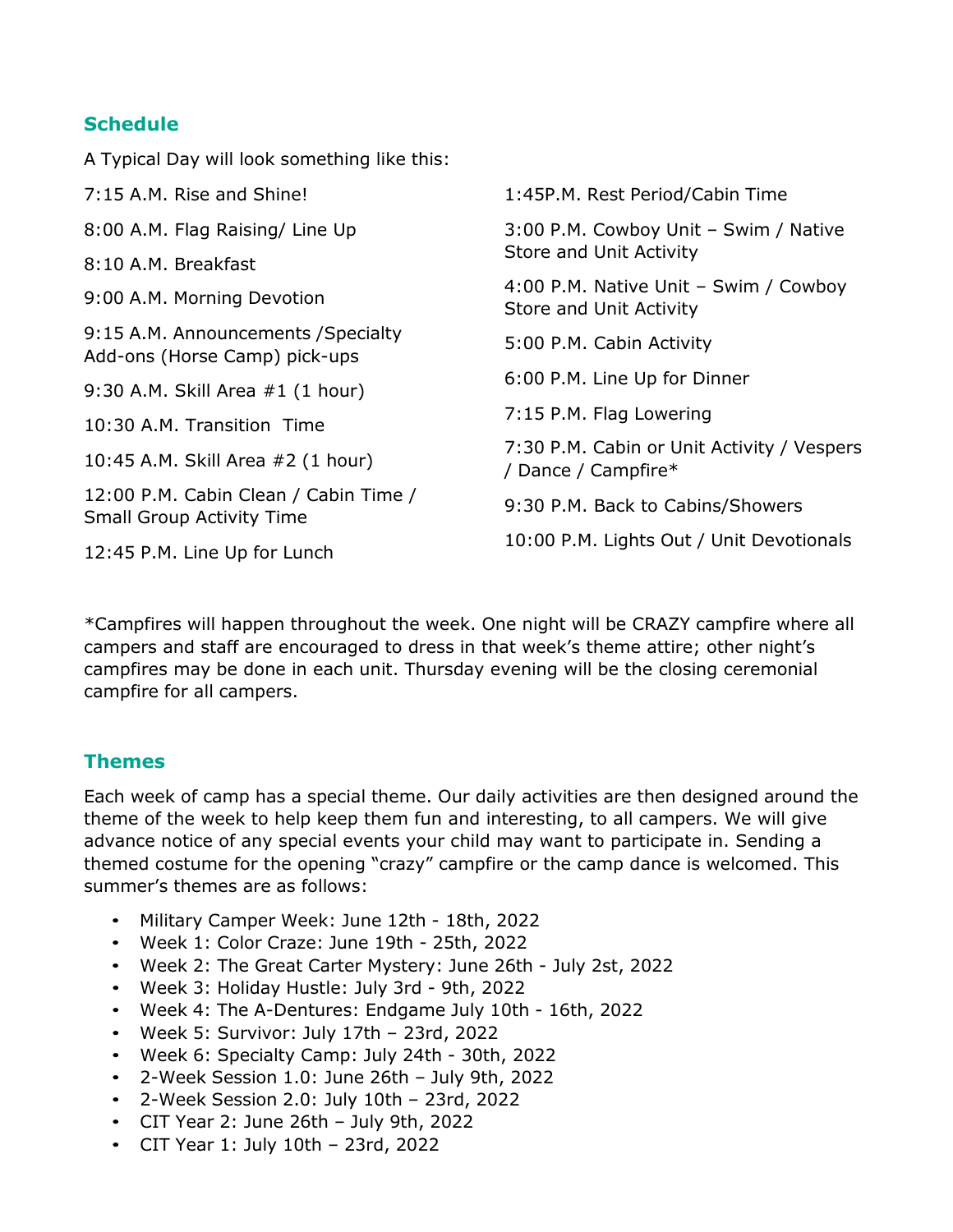## **Schedule**

A Typical Day will look something like this:

7:15 A.M. Rise and Shine! 8:00 A.M. Flag Raising/ Line Up 8:10 A.M. Breakfast 9:00 A.M. Morning Devotion 9:15 A.M. Announcements /Specialty Add-ons (Horse Camp) pick-ups 9:30 A.M. Skill Area #1 (1 hour) 10:30 A.M. Transition Time 10:45 A.M. Skill Area #2 (1 hour) 12:00 P.M. Cabin Clean / Cabin Time / Small Group Activity Time 12:45 P.M. Line Up for Lunch 1:45P.M. Rest Period/Cabin Time 3:00 P.M. Cowboy Unit – Swim / Native Store and Unit Activity 4:00 P.M. Native Unit – Swim / Cowboy Store and Unit Activity 5:00 P.M. Cabin Activity 6:00 P.M. Line Up for Dinner 7:15 P.M. Flag Lowering 7:30 P.M. Cabin or Unit Activity / Vespers / Dance / Campfire\* 9:30 P.M. Back to Cabins/Showers 10:00 P.M. Lights Out / Unit Devotionals

\*Campfires will happen throughout the week. One night will be CRAZY campfire where all campers and staff are encouraged to dress in that week's theme attire; other night's campfires may be done in each unit. Thursday evening will be the closing ceremonial campfire for all campers.

## **Themes**

Each week of camp has a special theme. Our daily activities are then designed around the theme of the week to help keep them fun and interesting, to all campers. We will give advance notice of any special events your child may want to participate in. Sending a themed costume for the opening "crazy" campfire or the camp dance is welcomed. This summer's themes are as follows:

- Military Camper Week: June 12th 18th, 2022
- Week 1: Color Craze: June 19th 25th, 2022
- Week 2: The Great Carter Mystery: June 26th July 2st, 2022
- Week 3: Holiday Hustle: July 3rd 9th, 2022
- Week 4: The A-Dentures: Endgame July 10th 16th, 2022
- Week 5: Survivor: July 17th 23rd, 2022
- Week 6: Specialty Camp: July 24th 30th, 2022
- 2-Week Session 1.0: June 26th July 9th, 2022
- 2-Week Session 2.0: July 10th 23rd, 2022
- CIT Year 2: June 26th July 9th, 2022
- CIT Year 1: July 10th 23rd, 2022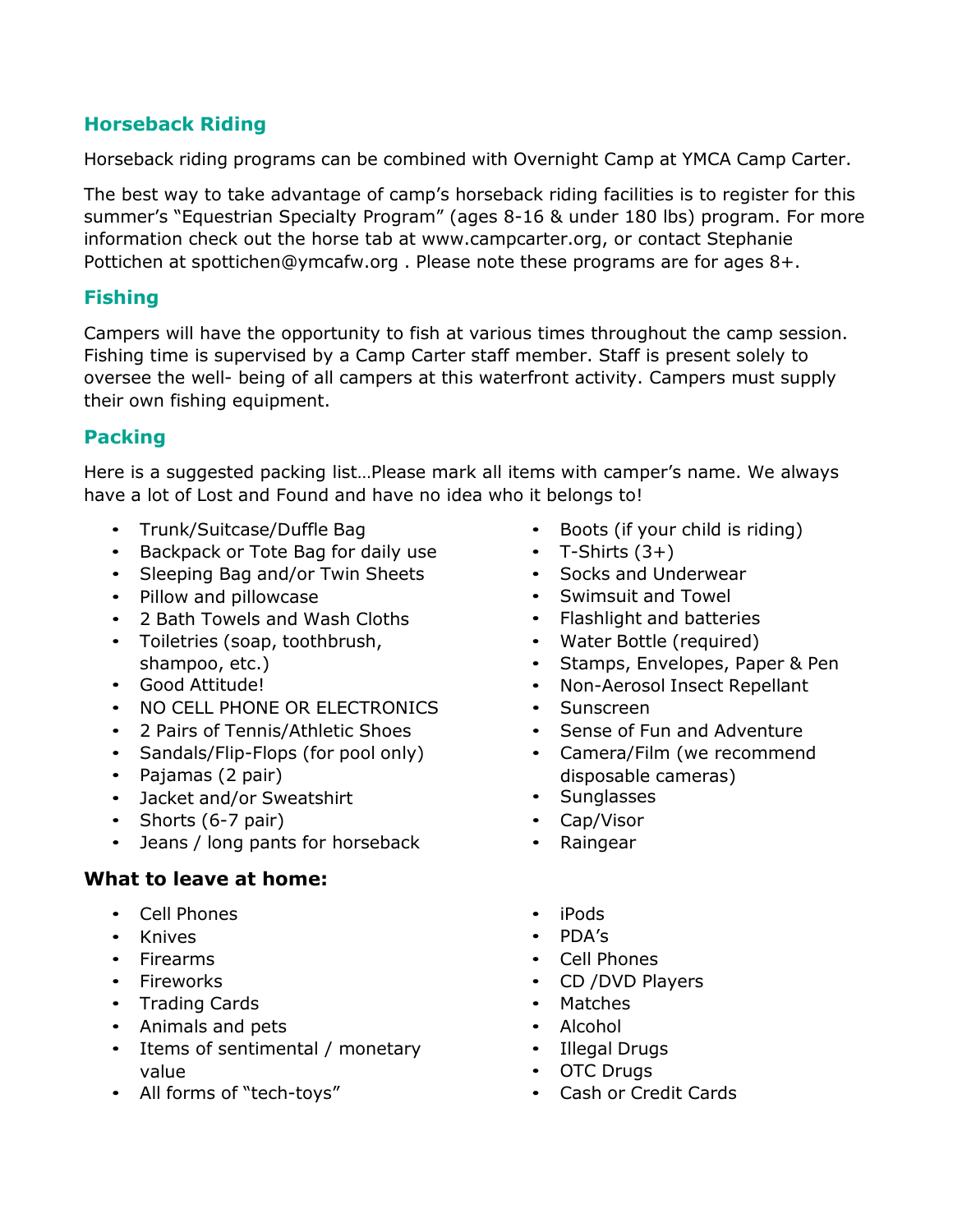## **Horseback Riding**

Horseback riding programs can be combined with Overnight Camp at YMCA Camp Carter.

The best way to take advantage of camp's horseback riding facilities is to register for this summer's "Equestrian Specialty Program" (ages 8-16 & under 180 lbs) program. For more information check out the horse tab at [www.campcarter.org, o](http://www.campcarter.org/)r contact Stephanie Pottichen at [spottichen@ymcafw.org](mailto:spottichen@ymcafw.org) . Please note these programs are for ages 8+.

## **Fishing**

Campers will have the opportunity to fish at various times throughout the camp session. Fishing time is supervised by a Camp Carter staff member. Staff is present solely to oversee the well- being of all campers at this waterfront activity. Campers must supply their own fishing equipment.

# **Packing**

Here is a suggested packing list…Please mark all items with camper's name. We always have a lot of Lost and Found and have no idea who it belongs to!

- Trunk/Suitcase/Duffle Bag
- Backpack or Tote Bag for daily use
- Sleeping Bag and/or Twin Sheets
- Pillow and pillowcase
- 2 Bath Towels and Wash Cloths
- Toiletries (soap, toothbrush, shampoo, etc.)
- Good Attitude!
- NO CELL PHONE OR ELECTRONICS
- 2 Pairs of Tennis/Athletic Shoes
- Sandals/Flip-Flops (for pool only)
- Pajamas (2 pair)
- Jacket and/or Sweatshirt
- Shorts (6-7 pair)
- Jeans / long pants for horseback

### **What to leave at home:**

- Cell Phones
- Knives
- Firearms
- Fireworks
- Trading Cards
- Animals and pets
- Items of sentimental / monetary value
- All forms of "tech-toys"
- Boots (if your child is riding)
- T-Shirts  $(3+)$
- Socks and Underwear
- Swimsuit and Towel
- Flashlight and batteries
- Water Bottle (required)
- Stamps, Envelopes, Paper & Pen
- Non-Aerosol Insect Repellant
- Sunscreen
- Sense of Fun and Adventure
- Camera/Film (we recommend disposable cameras)
- Sunglasses
- Cap/Visor
- Raingear
- iPods
- PDA's
- Cell Phones
- CD /DVD Players
- Matches
- Alcohol
- Illegal Drugs
- OTC Drugs
- Cash or Credit Cards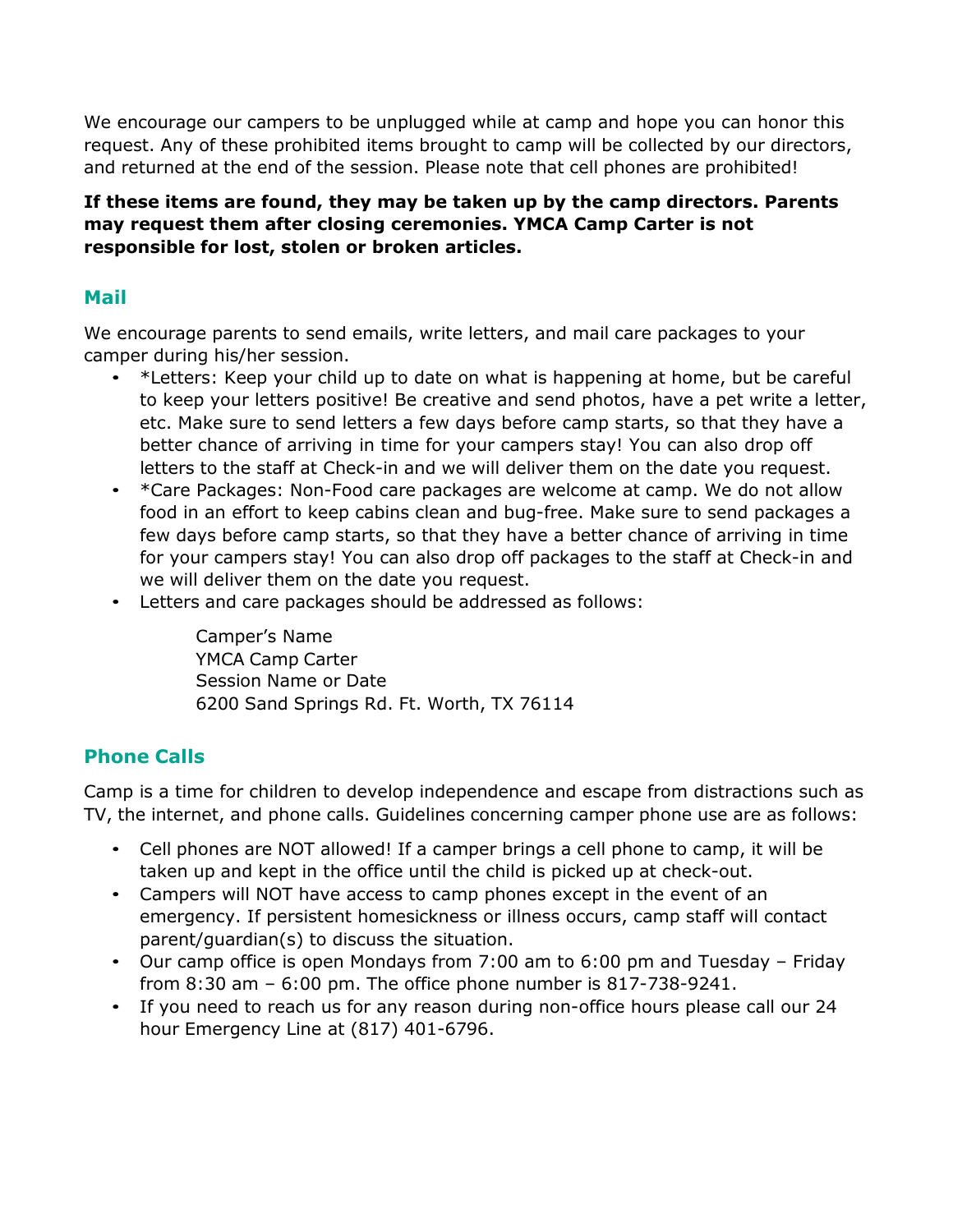We encourage our campers to be unplugged while at camp and hope you can honor this request. Any of these prohibited items brought to camp will be collected by our directors, and returned at the end of the session. Please note that cell phones are prohibited!

#### **If these items are found, they may be taken up by the camp directors. Parents may request them after closing ceremonies. YMCA Camp Carter is not responsible for lost, stolen or broken articles.**

# **Mail**

We encourage parents to send emails, write letters, and mail care packages to your camper during his/her session.

- \*Letters: Keep your child up to date on what is happening at home, but be careful to keep your letters positive! Be creative and send photos, have a pet write a letter, etc. Make sure to send letters a few days before camp starts, so that they have a better chance of arriving in time for your campers stay! You can also drop off letters to the staff at Check-in and we will deliver them on the date you request.
- \*Care Packages: Non-Food care packages are welcome at camp. We do not allow food in an effort to keep cabins clean and bug-free. Make sure to send packages a few days before camp starts, so that they have a better chance of arriving in time for your campers stay! You can also drop off packages to the staff at Check-in and we will deliver them on the date you request.
- Letters and care packages should be addressed as follows:

Camper's Name YMCA Camp Carter Session Name or Date 6200 Sand Springs Rd. Ft. Worth, TX 76114

## **Phone Calls**

Camp is a time for children to develop independence and escape from distractions such as TV, the internet, and phone calls. Guidelines concerning camper phone use are as follows:

- Cell phones are NOT allowed! If a camper brings a cell phone to camp, it will be taken up and kept in the office until the child is picked up at check-out.
- Campers will NOT have access to camp phones except in the event of an emergency. If persistent homesickness or illness occurs, camp staff will contact parent/guardian(s) to discuss the situation.
- Our camp office is open Mondays from 7:00 am to 6:00 pm and Tuesday Friday from 8:30 am – 6:00 pm. The office phone number is 817-738-9241.
- If you need to reach us for any reason during non-office hours please call our 24 hour Emergency Line at (817) 401-6796.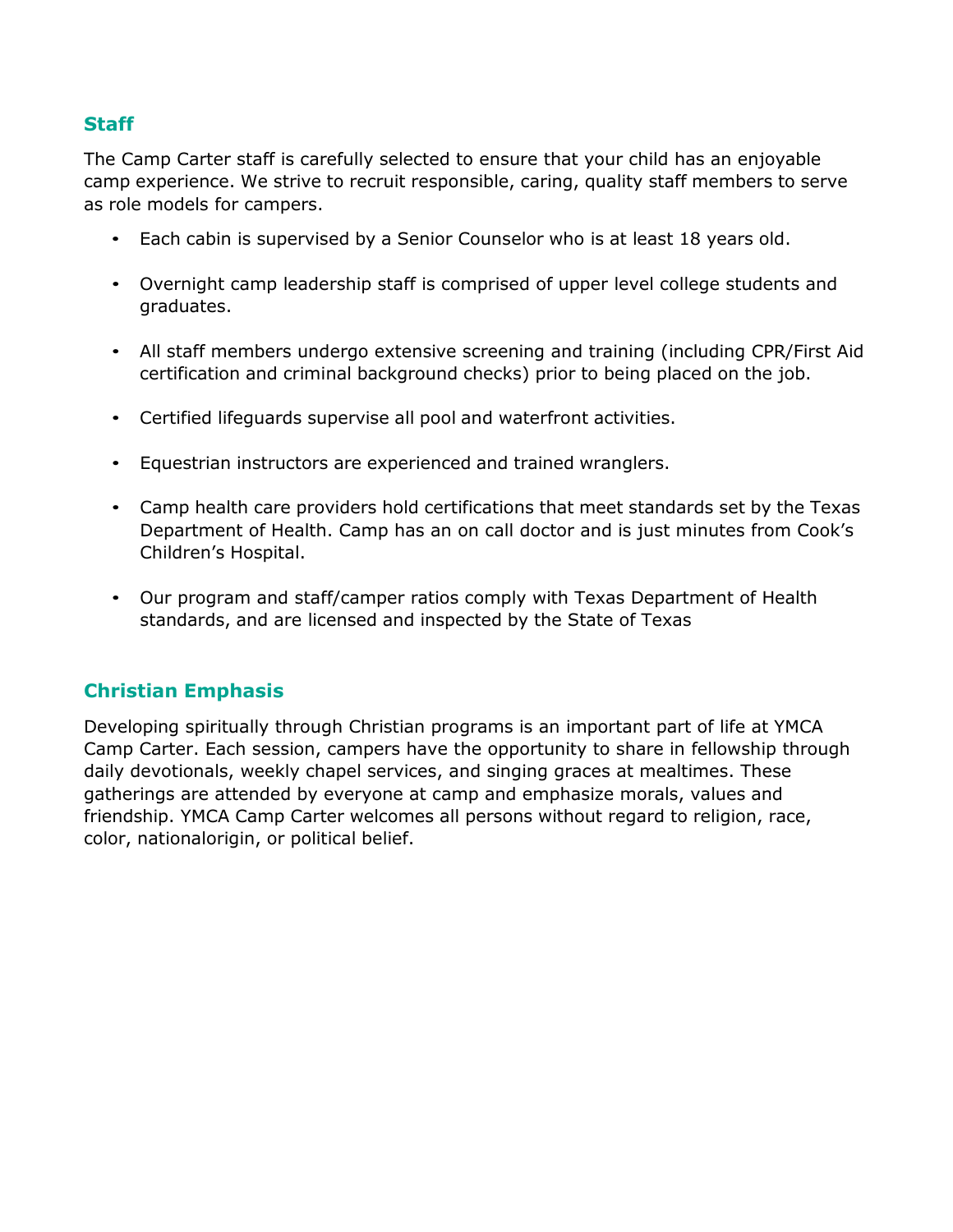## **Staff**

The Camp Carter staff is carefully selected to ensure that your child has an enjoyable camp experience. We strive to recruit responsible, caring, quality staff members to serve as role models for campers.

- Each cabin is supervised by a Senior Counselor who is at least 18 years old.
- Overnight camp leadership staff is comprised of upper level college students and graduates.
- All staff members undergo extensive screening and training (including CPR/First Aid certification and criminal background checks) prior to being placed on the job.
- Certified lifeguards supervise all pool and waterfront activities.
- Equestrian instructors are experienced and trained wranglers.
- Camp health care providers hold certifications that meet standards set by the Texas Department of Health. Camp has an on call doctor and is just minutes from Cook's Children's Hospital.
- Our program and staff/camper ratios comply with Texas Department of Health standards, and are licensed and inspected by the State of Texas

## **Christian Emphasis**

Developing spiritually through Christian programs is an important part of life at YMCA Camp Carter. Each session, campers have the opportunity to share in fellowship through daily devotionals, weekly chapel services, and singing graces at mealtimes. These gatherings are attended by everyone at camp and emphasize morals, values and friendship. YMCA Camp Carter welcomes all persons without regard to religion, race, color, nationalorigin, or political belief.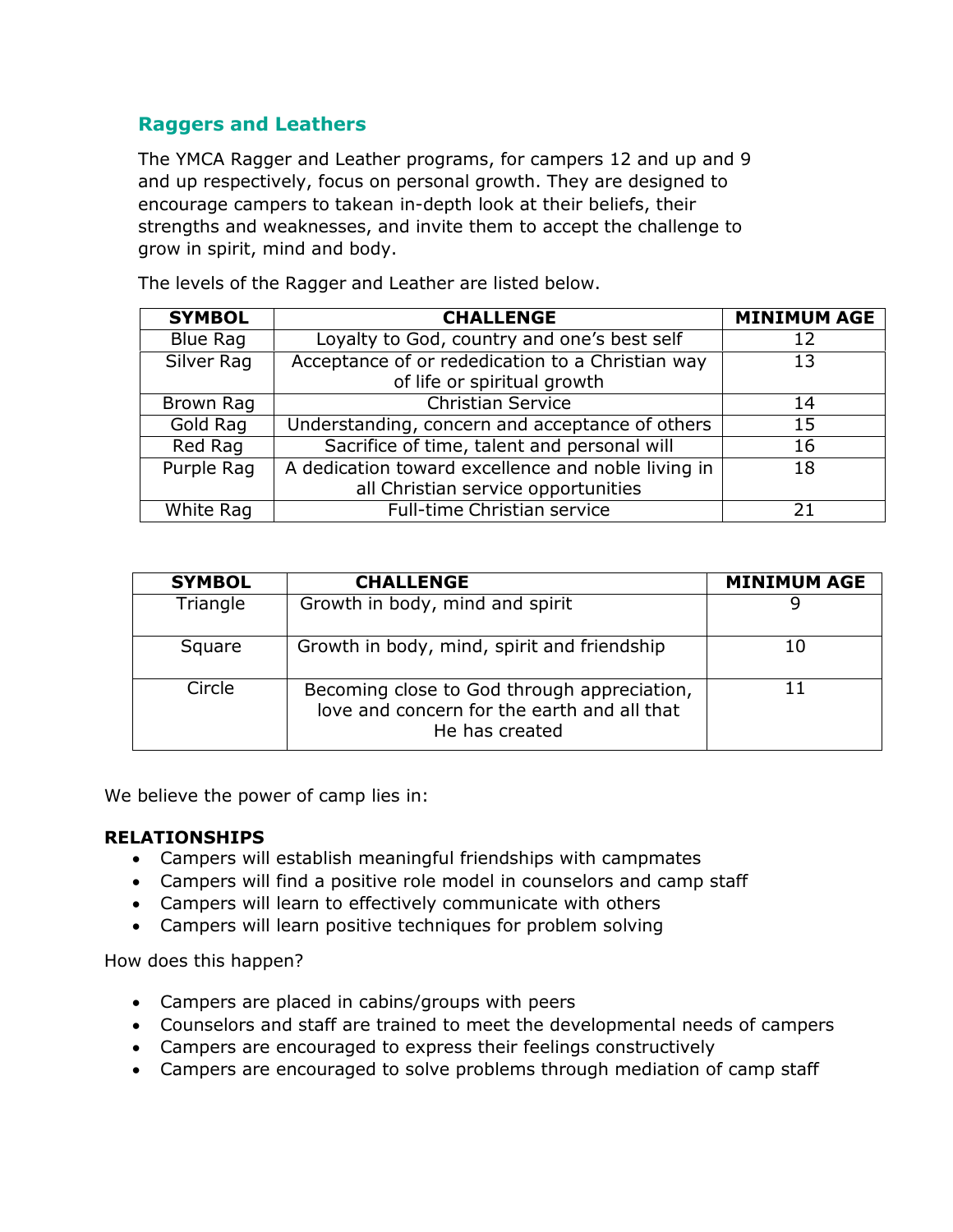## **Raggers and Leathers**

The YMCA Ragger and Leather programs, for campers 12 and up and 9 and up respectively, focus on personal growth. They are designed to encourage campers to takean in-depth look at their beliefs, their strengths and weaknesses, and invite them to accept the challenge to grow in spirit, mind and body.

| <b>SYMBOL</b>   | <b>CHALLENGE</b>                                   | <b>MINIMUM AGE</b> |
|-----------------|----------------------------------------------------|--------------------|
| <b>Blue Rag</b> | Loyalty to God, country and one's best self        | 12                 |
| Silver Rag      | Acceptance of or rededication to a Christian way   | 13                 |
|                 | of life or spiritual growth                        |                    |
| Brown Rag       | <b>Christian Service</b>                           | 14                 |
| Gold Rag        | Understanding, concern and acceptance of others    | 15                 |
| Red Rag         | Sacrifice of time, talent and personal will        | 16                 |
| Purple Rag      | A dedication toward excellence and noble living in | 18                 |
|                 | all Christian service opportunities                |                    |
| White Rag       | <b>Full-time Christian service</b>                 | 71                 |

The levels of the Ragger and Leather are listed below.

| <b>SYMBOL</b> | <b>CHALLENGE</b>                                                                                             | <b>MINIMUM AGE</b> |
|---------------|--------------------------------------------------------------------------------------------------------------|--------------------|
| Triangle      | Growth in body, mind and spirit                                                                              |                    |
| Square        | Growth in body, mind, spirit and friendship                                                                  | 10                 |
| Circle        | Becoming close to God through appreciation,<br>love and concern for the earth and all that<br>He has created | 11                 |

We believe the power of camp lies in:

### **RELATIONSHIPS**

- Campers will establish meaningful friendships with campmates
- Campers will find a positive role model in counselors and camp staff
- Campers will learn to effectively communicate with others
- Campers will learn positive techniques for problem solving

How does this happen?

- Campers are placed in cabins/groups with peers
- Counselors and staff are trained to meet the developmental needs of campers
- Campers are encouraged to express their feelings constructively
- Campers are encouraged to solve problems through mediation of camp staff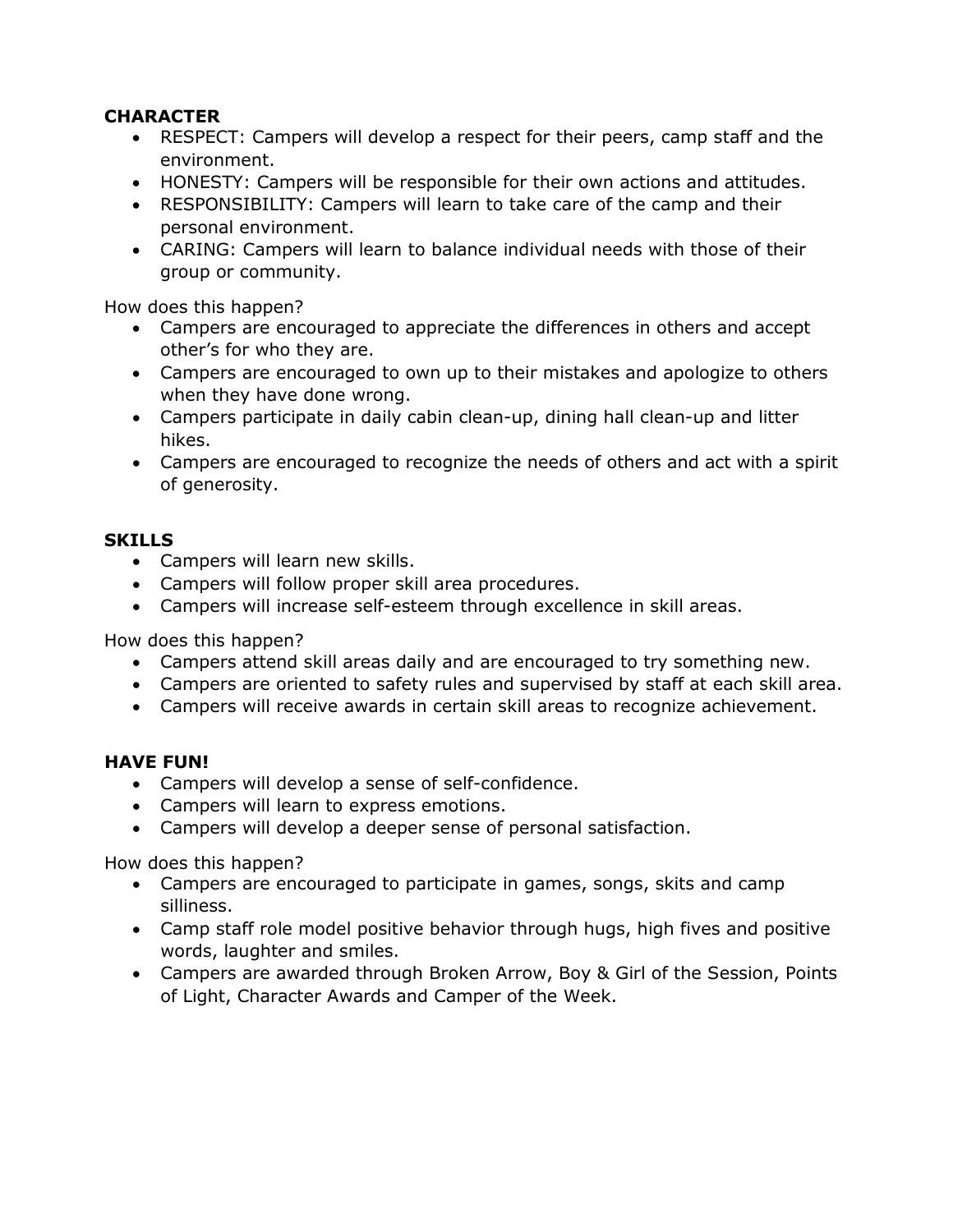#### **CHARACTER**

- RESPECT: Campers will develop a respect for their peers, camp staff and the environment.
- HONESTY: Campers will be responsible for their own actions and attitudes.
- RESPONSIBILITY: Campers will learn to take care of the camp and their personal environment.
- CARING: Campers will learn to balance individual needs with those of their group or community.

How does this happen?

- Campers are encouraged to appreciate the differences in others and accept other's for who they are.
- Campers are encouraged to own up to their mistakes and apologize to others when they have done wrong.
- Campers participate in daily cabin clean-up, dining hall clean-up and litter hikes.
- Campers are encouraged to recognize the needs of others and act with a spirit of generosity.

#### **SKILLS**

- Campers will learn new skills.
- Campers will follow proper skill area procedures.
- Campers will increase self-esteem through excellence in skill areas.

How does this happen?

- Campers attend skill areas daily and are encouraged to try something new.
- Campers are oriented to safety rules and supervised by staff at each skill area.
- Campers will receive awards in certain skill areas to recognize achievement.

### **HAVE FUN!**

- Campers will develop a sense of self-confidence.
- Campers will learn to express emotions.
- Campers will develop a deeper sense of personal satisfaction.

How does this happen?

- Campers are encouraged to participate in games, songs, skits and camp silliness.
- Camp staff role model positive behavior through hugs, high fives and positive words, laughter and smiles.
- Campers are awarded through Broken Arrow, Boy & Girl of the Session, Points of Light, Character Awards and Camper of the Week.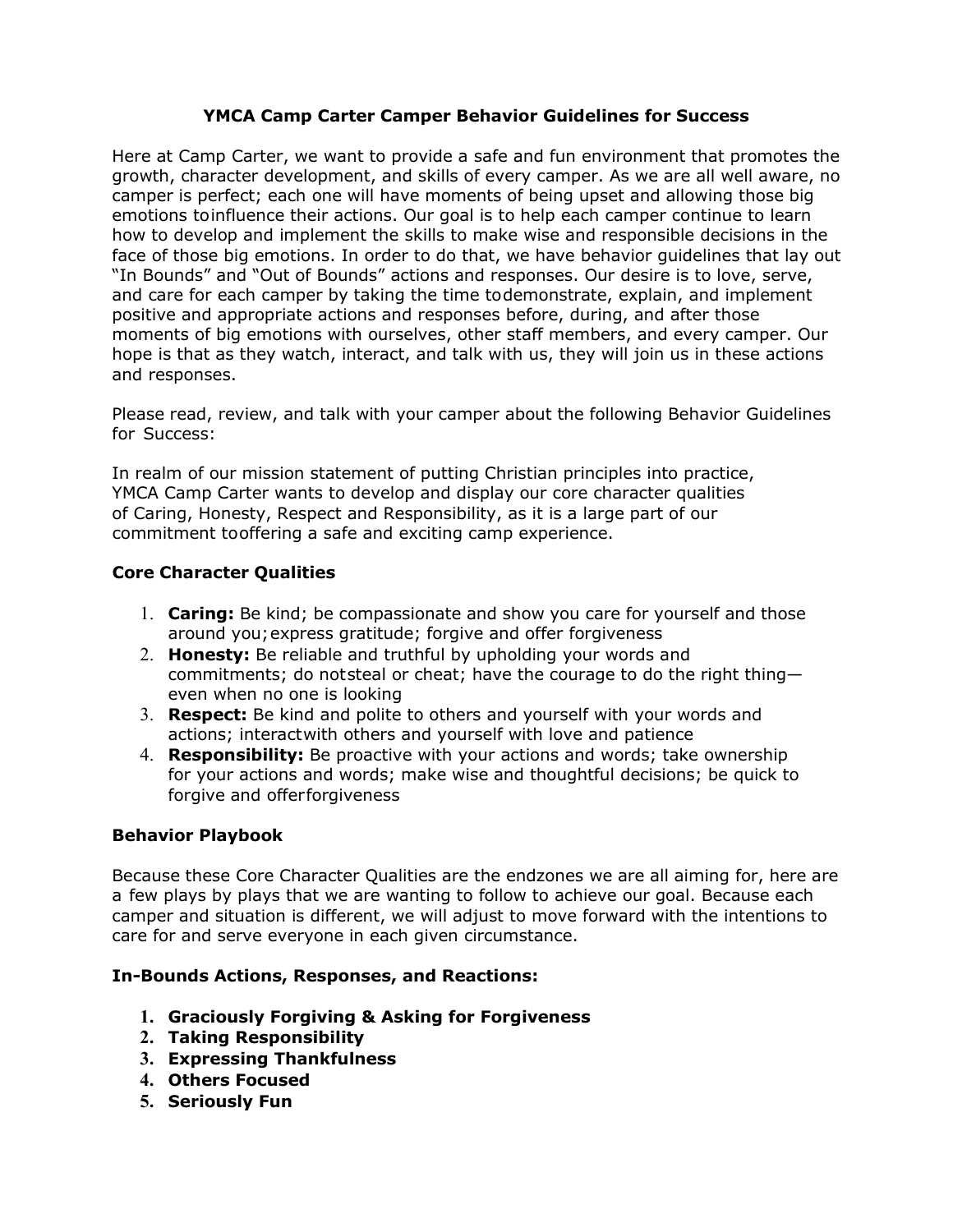#### **YMCA Camp Carter Camper Behavior Guidelines for Success**

Here at Camp Carter, we want to provide a safe and fun environment that promotes the growth, character development, and skills of every camper. As we are all well aware, no camper is perfect; each one will have moments of being upset and allowing those big emotions toinfluence their actions. Our goal is to help each camper continue to learn how to develop and implement the skills to make wise and responsible decisions in the face of those big emotions. In order to do that, we have behavior guidelines that lay out "In Bounds" and "Out of Bounds" actions and responses. Our desire is to love, serve, and care for each camper by taking the time todemonstrate, explain, and implement positive and appropriate actions and responses before, during, and after those moments of big emotions with ourselves, other staff members, and every camper. Our hope is that as they watch, interact, and talk with us, they will join us in these actions and responses.

Please read, review, and talk with your camper about the following Behavior Guidelines for Success:

In realm of our mission statement of putting Christian principles into practice, YMCA Camp Carter wants to develop and display our core character qualities of Caring, Honesty, Respect and Responsibility, as it is a large part of our commitment tooffering a safe and exciting camp experience.

#### **Core Character Qualities**

- 1. **Caring:** Be kind; be compassionate and show you care for yourself and those around you;express gratitude; forgive and offer forgiveness
- 2. **Honesty:** Be reliable and truthful by upholding your words and commitments; do notsteal or cheat; have the courage to do the right thing even when no one is looking
- 3. **Respect:** Be kind and polite to others and yourself with your words and actions; interactwith others and yourself with love and patience
- 4. **Responsibility:** Be proactive with your actions and words; take ownership for your actions and words; make wise and thoughtful decisions; be quick to forgive and offerforgiveness

#### **Behavior Playbook**

Because these Core Character Qualities are the endzones we are all aiming for, here are a few plays by plays that we are wanting to follow to achieve our goal. Because each camper and situation is different, we will adjust to move forward with the intentions to care for and serve everyone in each given circumstance.

#### **In-Bounds Actions, Responses, and Reactions:**

- **1. Graciously Forgiving & Asking for Forgiveness**
- **2. Taking Responsibility**
- **3. Expressing Thankfulness**
- **4. Others Focused**
- **5. Seriously Fun**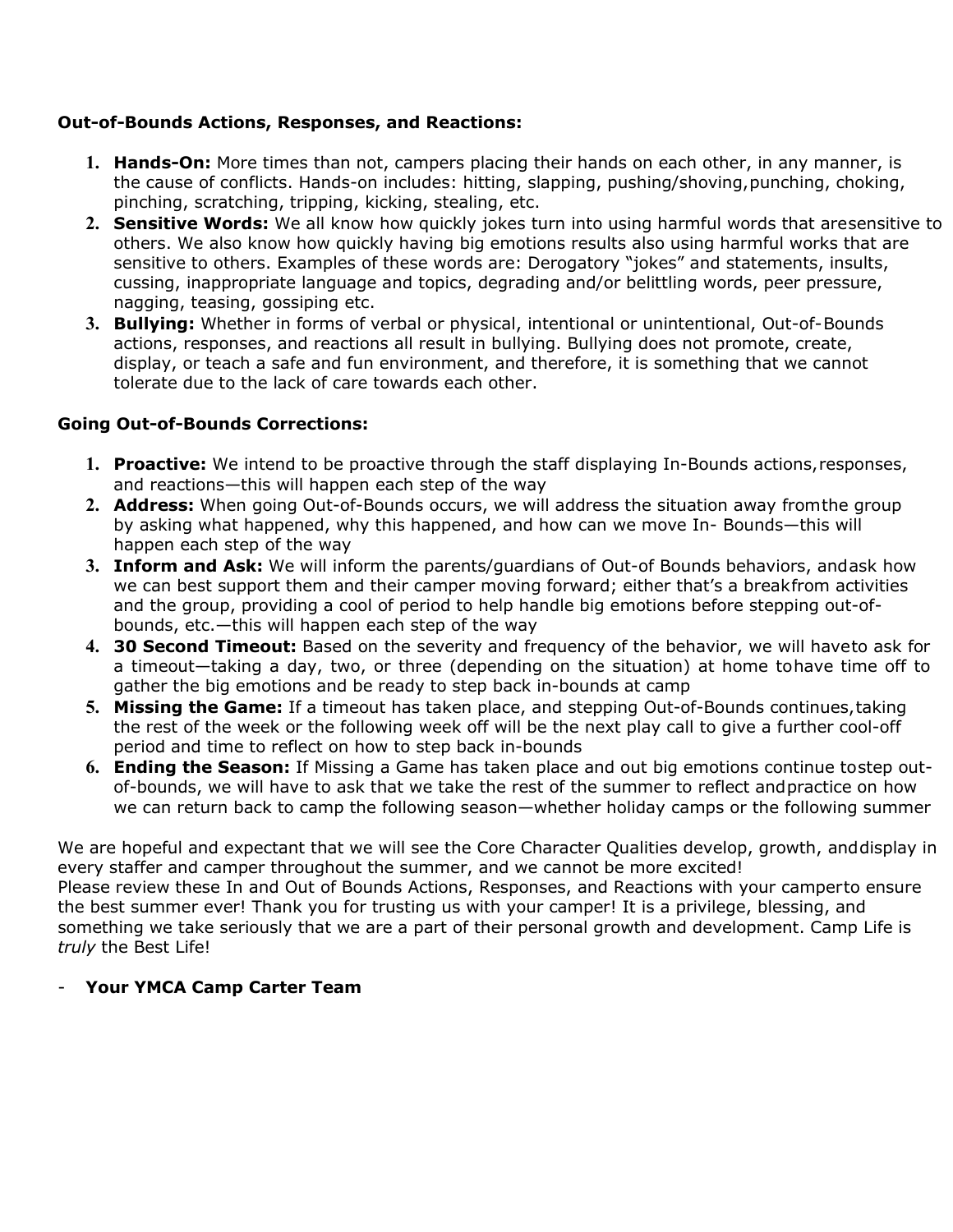#### **Out-of-Bounds Actions, Responses, and Reactions:**

- **1. Hands-On:** More times than not, campers placing their hands on each other, in any manner, is the cause of conflicts. Hands-on includes: hitting, slapping, pushing/shoving,punching, choking, pinching, scratching, tripping, kicking, stealing, etc.
- **2. Sensitive Words:** We all know how quickly jokes turn into using harmful words that aresensitive to others. We also know how quickly having big emotions results also using harmful works that are sensitive to others. Examples of these words are: Derogatory "jokes" and statements, insults, cussing, inappropriate language and topics, degrading and/or belittling words, peer pressure, nagging, teasing, gossiping etc.
- **3. Bullying:** Whether in forms of verbal or physical, intentional or unintentional, Out-of-Bounds actions, responses, and reactions all result in bullying. Bullying does not promote, create, display, or teach a safe and fun environment, and therefore, it is something that we cannot tolerate due to the lack of care towards each other.

#### **Going Out-of-Bounds Corrections:**

- **1. Proactive:** We intend to be proactive through the staff displaying In-Bounds actions,responses, and reactions—this will happen each step of the way
- **2. Address:** When going Out-of-Bounds occurs, we will address the situation away fromthe group by asking what happened, why this happened, and how can we move In- Bounds—this will happen each step of the way
- **3. Inform and Ask:** We will inform the parents/guardians of Out-of Bounds behaviors, andask how we can best support them and their camper moving forward; either that's a breakfrom activities and the group, providing a cool of period to help handle big emotions before stepping out-ofbounds, etc.—this will happen each step of the way
- **4. 30 Second Timeout:** Based on the severity and frequency of the behavior, we will haveto ask for a timeout—taking a day, two, or three (depending on the situation) at home tohave time off to gather the big emotions and be ready to step back in-bounds at camp
- **5. Missing the Game:** If a timeout has taken place, and stepping Out-of-Bounds continues,taking the rest of the week or the following week off will be the next play call to give a further cool-off period and time to reflect on how to step back in-bounds
- **6. Ending the Season:** If Missing a Game has taken place and out big emotions continue tostep outof-bounds, we will have to ask that we take the rest of the summer to reflect andpractice on how we can return back to camp the following season—whether holiday camps or the following summer

We are hopeful and expectant that we will see the Core Character Qualities develop, growth, anddisplay in every staffer and camper throughout the summer, and we cannot be more excited! Please review these In and Out of Bounds Actions, Responses, and Reactions with your camperto ensure the best summer ever! Thank you for trusting us with your camper! It is a privilege, blessing, and something we take seriously that we are a part of their personal growth and development. Camp Life is *truly* the Best Life!

#### - **Your YMCA Camp Carter Team**